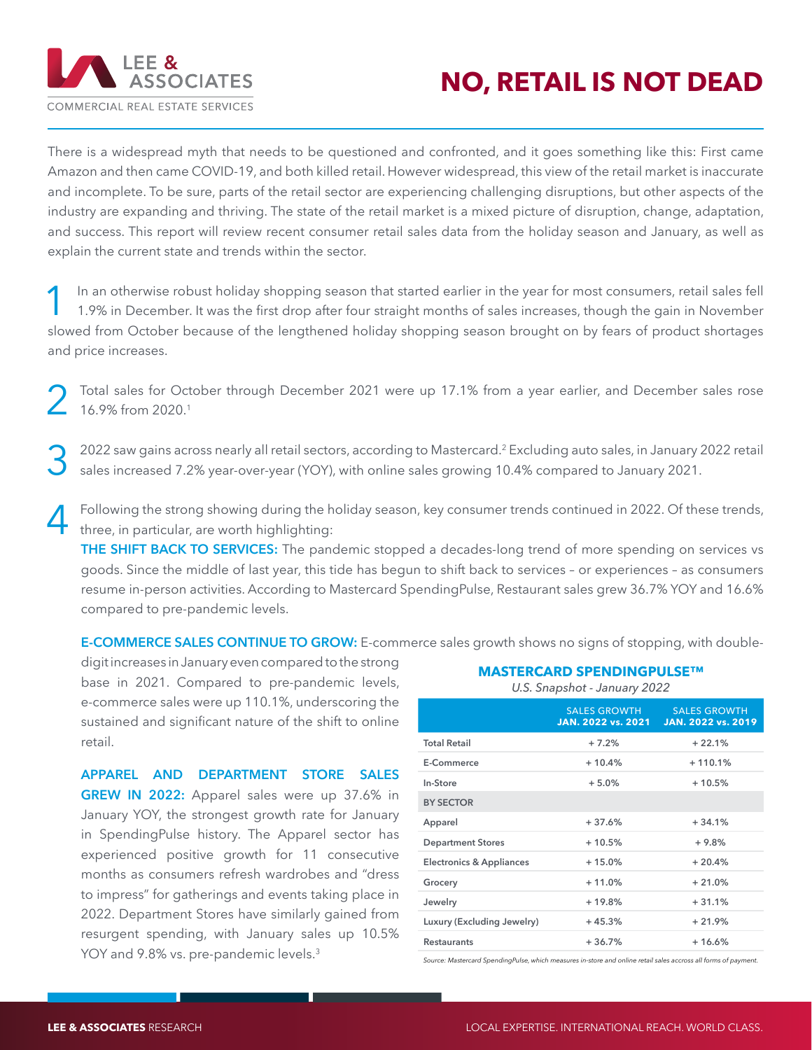

## **NO, RETAIL IS NOT DEAD**

There is a widespread myth that needs to be questioned and confronted, and it goes something like this: First came Amazon and then came COVID-19, and both killed retail. However widespread, this view of the retail market is inaccurate and incomplete. To be sure, parts of the retail sector are experiencing challenging disruptions, but other aspects of the industry are expanding and thriving. The state of the retail market is a mixed picture of disruption, change, adaptation, and success. This report will review recent consumer retail sales data from the holiday season and January, as well as explain the current state and trends within the sector.

In an otherwise robust holiday shopping season that started earlier in the year for most consumers, retail sales fell<br>1.9% in December. It was the first drop after four straight months of sales increases, though the gain i slowed from October because of the lengthened holiday shopping season brought on by fears of product shortages and price increases.

Total sales for October through December 2021 were up 17.1% from a year earlier, and December sales rose 16.9% from 2020.1

3 2022 saw gains across nearly all retail sectors, according to Mastercard.2 Excluding auto sales, in January 2022 retail sales increased 7.2% year-over-year (YOY), with online sales growing 10.4% compared to January 2021.

Following the strong showing during the holiday season, key consumer trends continued in 2022. Of these trends, three, in particular, are worth highlighting:

**THE SHIFT BACK TO SERVICES:** The pandemic stopped a decades-long trend of more spending on services vs goods. Since the middle of last year, this tide has begun to shift back to services – or experiences – as consumers resume in-person activities. According to Mastercard SpendingPulse, Restaurant sales grew 36.7% YOY and 16.6% compared to pre-pandemic levels.

**E-COMMERCE SALES CONTINUE TO GROW:** E-commerce sales growth shows no signs of stopping, with double-

digit increases in January even compared to the strong base in 2021. Compared to pre-pandemic levels, e-commerce sales were up 110.1%, underscoring the sustained and significant nature of the shift to online retail.

**APPAREL AND DEPARTMENT STORE SALES GREW IN 2022:** Apparel sales were up 37.6% in January YOY, the strongest growth rate for January in SpendingPulse history. The Apparel sector has experienced positive growth for 11 consecutive months as consumers refresh wardrobes and "dress to impress" for gatherings and events taking place in 2022. Department Stores have similarly gained from resurgent spending, with January sales up 10.5% YOY and 9.8% vs. pre-pandemic levels.<sup>3</sup>

| U.S. Snapshot - January 2022 |                                           |                                           |
|------------------------------|-------------------------------------------|-------------------------------------------|
|                              | <b>SALES GROWTH</b><br>JAN. 2022 vs. 2021 | <b>SALES GROWTH</b><br>JAN. 2022 vs. 2019 |
| <b>Total Retail</b>          | $+7.2%$                                   | $+22.1%$                                  |
| E-Commerce                   | $+10.4%$                                  | $+110.1%$                                 |
| In-Store                     | $+5.0%$                                   | $+10.5%$                                  |
| <b>BY SECTOR</b>             |                                           |                                           |
| Apparel                      | $+37.6%$                                  | $+34.1%$                                  |
| <b>Department Stores</b>     | $+10.5%$                                  | $+9.8%$                                   |
| Electronics & Appliances     | $+15.0%$                                  | $+20.4%$                                  |
| Grocery                      | $+11.0%$                                  | $+21.0%$                                  |
| Jewelry                      | $+19.8%$                                  | $+31.1%$                                  |
| Luxury (Excluding Jewelry)   | $+45.3%$                                  | $+21.9%$                                  |
| <b>Restaurants</b>           | $+36.7%$                                  | $+16.6%$                                  |
|                              |                                           |                                           |

**MASTERCARD SPENDINGPULSE™**

*Source: Mastercard SpendingPulse, which measures in-store and online retail sales accross all forms of payment.*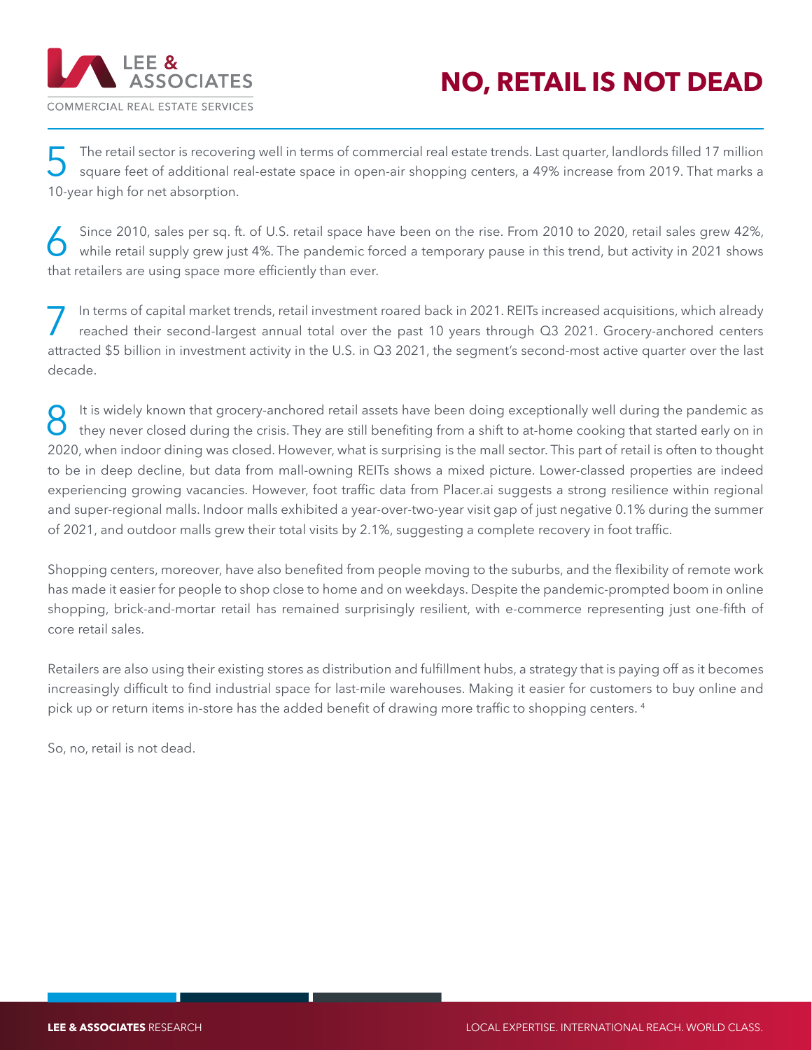

## **NO, RETAIL IS NOT DEAD**

The retail sector is recovering well in terms of commercial real estate trends. Last quarter, landlords filled 17 million square feet of additional real-estate space in open-air shopping centers, a 49% increase from 2019. 10-year high for net absorption.

Since 2010, sales per sq. ft. of U.S. retail space have been on the rise. From 2010 to 2020, retail sales grew 42%,<br>while retail supply grew just 4%. The pandemic forced a temporary pause in this trend, but activity in 202 that retailers are using space more efficiently than ever.

In terms of capital market trends, retail investment roared back in 2021. REITs increased acquisitions, which already<br>reached their second-largest annual total over the past 10 years through Q3 2021. Grocery-anchored cente attracted \$5 billion in investment activity in the U.S. in Q3 2021, the segment's second-most active quarter over the last decade.

It is widely known that grocery-anchored retail assets have been doing exceptionally well during the pandemic as<br>
they never closed during the crisis. They are still benefiting from a shift to at-home cooking that started 2020, when indoor dining was closed. However, what is surprising is the mall sector. This part of retail is often to thought to be in deep decline, but data from mall-owning REITs shows a mixed picture. Lower-classed properties are indeed experiencing growing vacancies. However, foot traffic data from Placer.ai suggests a strong resilience within regional and super-regional malls. Indoor malls exhibited a year-over-two-year visit gap of just negative 0.1% during the summer of 2021, and outdoor malls grew their total visits by 2.1%, suggesting a complete recovery in foot traffic.

Shopping centers, moreover, have also benefited from people moving to the suburbs, and the flexibility of remote work has made it easier for people to shop close to home and on weekdays. Despite the pandemic-prompted boom in online shopping, brick-and-mortar retail has remained surprisingly resilient, with e-commerce representing just one-fifth of core retail sales.

Retailers are also using their existing stores as distribution and fulfillment hubs, a strategy that is paying off as it becomes increasingly difficult to find industrial space for last-mile warehouses. Making it easier for customers to buy online and pick up or return items in-store has the added benefit of drawing more traffic to shopping centers. <sup>4</sup>

So, no, retail is not dead.